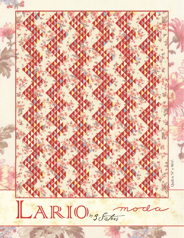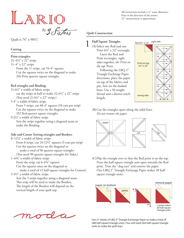# LARIO  $b$ *y*  $\frac{1}{2}$   $\int$   $\frac{1}{x}$   $\frac{1}{x}$

Quilt is 74" x 90½".

# **Cutting**

## **Print triangles:**

21–6½" x 22" strips 11–4" x 22" strips From the 11 strips, cut 54-4" squares Cut the squares twice on the diagonal to make 216 Print quarter square triangles

# **Red triangles and Binding:**

- 11-6½" x width of fabric strips cut the strips in half to make 22-6½" x 22" strips (You need 21-6½" x 22" strips.)
- 5-4" x width of fabric strips

From 5 strips, cut 48-4" squares (10 cuts per strip) Cut the squares twice on the diagonal to make 192 Red quarter square triangles

9-2½" x width of fabric strips

Sew the strips together using a diagonal seam to make the Binding.

# **Side and Corner Setting triangles and Borders:**

8–12½" x width of fabric strips

 From 8 strips, cut 24-12½" squares (3 cuts per strip) Cut the squares twice on the diagonal to make a total of 96 quarter square triangles (You need 90 quarter square triangles for Sides.)

1–6¾" x width of fabric strips

 From the strip, cut 6-6¾" squares Cut the squares once on the diagonal to make a total of 12 half square triangles for Corners)

5-3½" x width of fabric strips Sew the 5 strips together using a diagonal seam. This strip will be used to make the Borders. The length of the Borders will depend on the vertical length of your quilt top.

All instructions include a ¼" seam allowance. Press in the direction of the arrows. 22" measurement is approximate.

# **Quilt Construction**

(A) Select one Red and one 1 **Half Square Triangles** Print 6½" x 22" rectangle. Layer the Red and Print rectangles, right sides together, *the Print on the top*. Press.

 Following the LBQ 2" Triangle Exchange Paper directions, place the paper on top of the fabrics and pin. Sew on the dashed lines. Use a 50 weight thread and a shorter stitch length.



(B) Cut the triangles apart along the solid lines. *Do not remove the paper.* 



(C) Flip the triangle over so that the Red print is on the top. Press the half square triangle unit open towards the Red print. Trim the "dog ears" and remove the paper. One LBQ 2" Triangle Exchange Paper makes 28 half square triangle units.





Use 21 sheets of LBQ 2" Triangle Exchange Paper to make a total of 588 half square triangle units. (You will need 564 half square triangle units to make the quilt top.)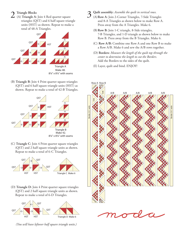(A) **Triangle A:** Join 4 Red quarter square triangles (QST) and 6 half square triangle units (HST) as shown. Repeat to make a total of 48-A Triangles.



(B) **Triangle B:** Join 4 Print quarter square triangles (QST) and 6 half square triangle units (HST) as shown. Repeat to make a total of 42-B Triangles.



(C) **Triangle C:** Join 4 Print quarter square triangles (QST) and 2 half square triangle units as shown. Repeat to make a total of 6-C Triangles.



(D) **Triangle D:** Join 4 Print quarter square triangles (QST) and 2 half square triangle units as shown. Repeat to make a total of 6-D Triangles.



*(You will have leftover half square triangle units.)*

- Triangle Blocks 3 **Quilt assembly:** *Assemble the quilt in vertical rows.* 
	- (A) **Row A:** Join 2-Corner Triangles, 7-Side Triangles and 8-A Triangles as shown below to make Row A. Press away from the A Triangles. Make 6.
		- (B) **Row B:** Join 1-C triangle, 8-Side triangles, 7-B Triangles, and 1-D triangle as shown below to make Row B. Press away from the B Triangles. Make 6.
		- (C) **Row A/B:** Combine one Row A and one Row B to make a Row A/B. Make 6 and sew the A/B rows together.
		- (D) **Borders:** *Measure the length of the quilt top through the center to determine the length to cut the Borders.*  Add the Borders to the sides of the quilt.
		- (E) Layer, quilt and bind. ENJOY!